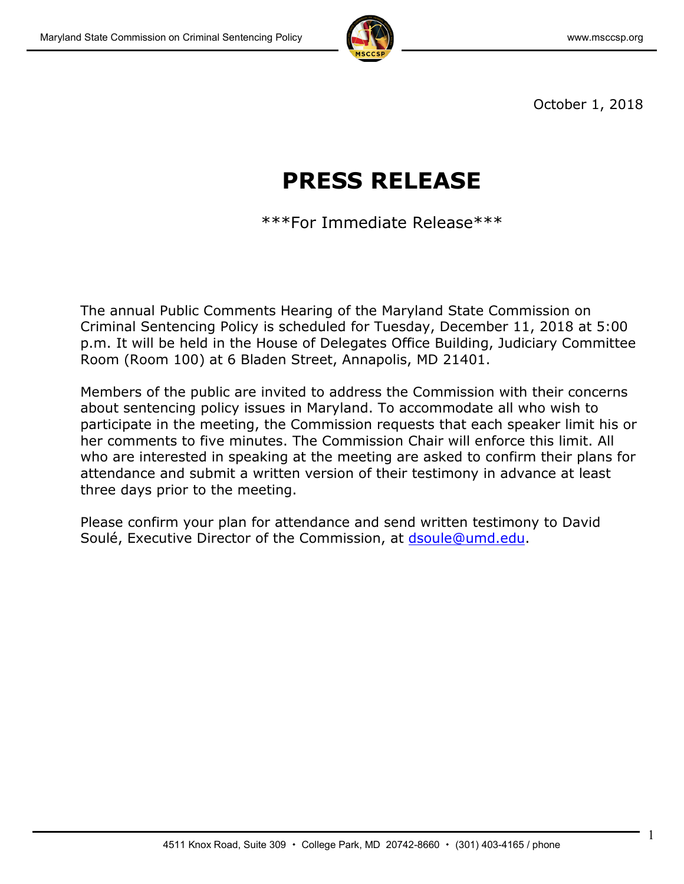

1

October 1, 2018

# **PRESS RELEASE**

\*\*\*For Immediate Release\*\*\*

The annual Public Comments Hearing of the Maryland State Commission on Criminal Sentencing Policy is scheduled for Tuesday, December 11, 2018 at 5:00 p.m. It will be held in the House of Delegates Office Building, Judiciary Committee Room (Room 100) at 6 Bladen Street, Annapolis, MD 21401.

Members of the public are invited to address the Commission with their concerns about sentencing policy issues in Maryland. To accommodate all who wish to participate in the meeting, the Commission requests that each speaker limit his or her comments to five minutes. The Commission Chair will enforce this limit. All who are interested in speaking at the meeting are asked to confirm their plans for attendance and submit a written version of their testimony in advance at least three days prior to the meeting.

Please confirm your plan for attendance and send written testimony to David Soulé, Executive Director of the Commission, at [dsoule@umd.edu.](mailto:dsoule@umd.edu)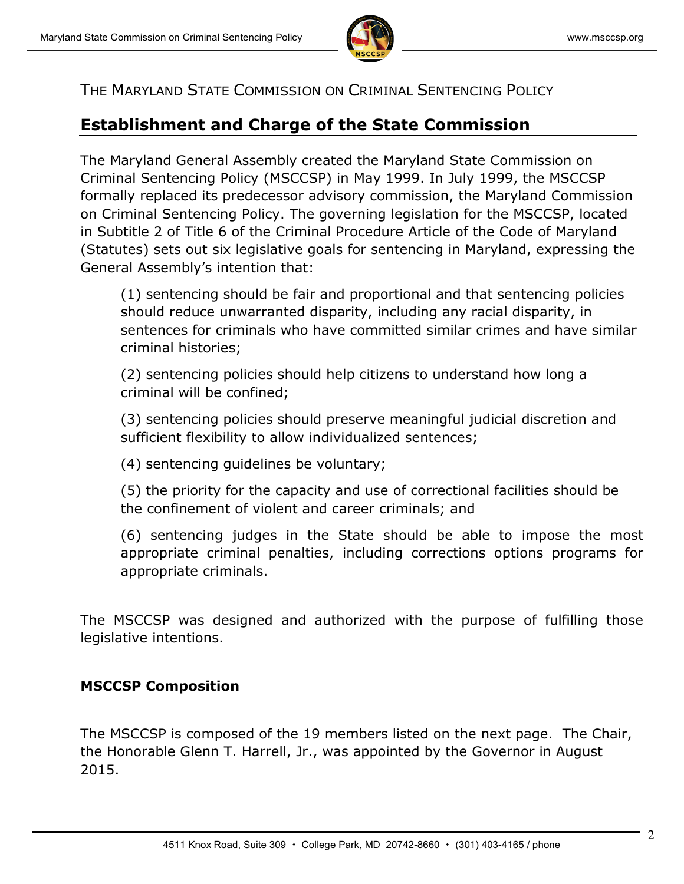

## THE MARYLAND STATE COMMISSION ON CRIMINAL SENTENCING POLICY

# **Establishment and Charge of the State Commission**

The Maryland General Assembly created the Maryland State Commission on Criminal Sentencing Policy (MSCCSP) in May 1999. In July 1999, the MSCCSP formally replaced its predecessor advisory commission, the Maryland Commission on Criminal Sentencing Policy. The governing legislation for the MSCCSP, located in Subtitle 2 of Title 6 of the Criminal Procedure Article of the Code of Maryland (Statutes) sets out six legislative goals for sentencing in Maryland, expressing the General Assembly's intention that:

(1) sentencing should be fair and proportional and that sentencing policies should reduce unwarranted disparity, including any racial disparity, in sentences for criminals who have committed similar crimes and have similar criminal histories;

(2) sentencing policies should help citizens to understand how long a criminal will be confined;

(3) sentencing policies should preserve meaningful judicial discretion and sufficient flexibility to allow individualized sentences;

(4) sentencing guidelines be voluntary;

(5) the priority for the capacity and use of correctional facilities should be the confinement of violent and career criminals; and

(6) sentencing judges in the State should be able to impose the most appropriate criminal penalties, including corrections options programs for appropriate criminals.

The MSCCSP was designed and authorized with the purpose of fulfilling those legislative intentions.

### **MSCCSP Composition**

The MSCCSP is composed of the 19 members listed on the next page. The Chair, the Honorable Glenn T. Harrell, Jr., was appointed by the Governor in August 2015.